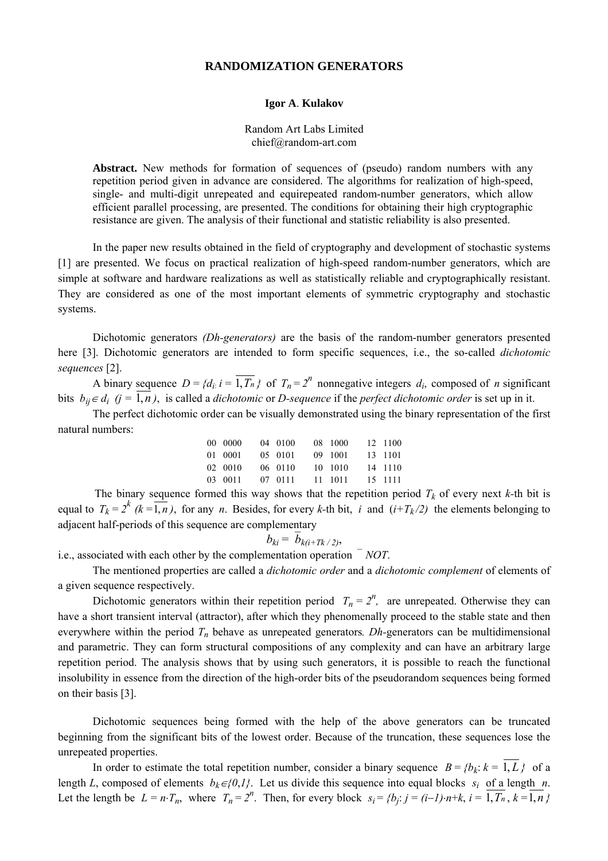### **RANDOMIZATION GENERATORS**

#### **Igor A**. **Kulakov**

#### Random Art Labs Limited chief@random-art.com

Abstract. New methods for formation of sequences of (pseudo) random numbers with any repetition period given in advance are considered. The algorithms for realization of high-speed, single- and multi-digit unrepeated and equirepeated random-number generators, which allow efficient parallel processing, are presented. The conditions for obtaining their high cryptographic resistance are given. The analysis of their functional and statistic reliability is also presented.

In the paper new results obtained in the field of cryptography and development of stochastic systems [1] are presented. We focus on practical realization of high-speed random-number generators, which are simple at software and hardware realizations as well as statistically reliable and cryptographically resistant. They are considered as one of the most important elements of symmetric cryptography and stochastic systems.

Dichotomic generators *(Dh-generators)* are the basis of the random-number generators presented here [3]. Dichotomic generators are intended to form specific sequences, i.e., the so-called *dichotomic sequences* [2].

A binary sequence  $D = \{d_i: i = \overline{1, T_n}\}\$  of  $T_n = 2^n$  nonnegative integers  $d_i$ , composed of *n* significant bits  $b_{ii} \in d_i$  ( $j = 1, n$ ), is called a *dichotomic* or *D-sequence* if the *perfect dichotomic order* is set up in it.

The perfect dichotomic order can be visually demonstrated using the binary representation of the first natural numbers:

| 00 0000 | 04 0100 | 08 1000 | 12 1100 |
|---------|---------|---------|---------|
| 01 0001 | 05 0101 | 09 1001 | 13 1101 |
| 02 0010 | 06 0110 | 10 1010 | 14 1110 |
| 03 0011 | 07 0111 | 11 1011 | 15 1111 |

The binary sequence formed this way shows that the repetition period  $T_k$  of every next  $k$ -th bit is equal to  $T_k = 2^k$  ( $k = \overline{1, n}$ ), for any *n*. Besides, for every *k*-th bit, *i* and (*i+T<sub>k</sub>*/2) the elements belonging to adjacent half-periods of this sequence are complementary

$$
b_{ki} = b_{k(i+Tk/2)},
$$

i.e., associated with each other by the complementation operation  $\bar{N}OT$ .

The mentioned properties are called a *dichotomic order* and a *dichotomic complement* of elements of a given sequence respectively.

Dichotomic generators within their repetition period  $T_n = 2^n$ , are unrepeated. Otherwise they can have a short transient interval (attractor), after which they phenomenally proceed to the stable state and then everywhere within the period  $T_n$  behave as unrepeated generators. *Dh*-generators can be multidimensional and parametric. They can form structural compositions of any complexity and can have an arbitrary large repetition period. The analysis shows that by using such generators, it is possible to reach the functional insolubility in essence from the direction of the high-order bits of the pseudorandom sequences being formed on their basis [3].

Dichotomic sequences being formed with the help of the above generators can be truncated beginning from the significant bits of the lowest order. Because of the truncation, these sequences lose the unrepeated properties.

In order to estimate the total repetition number, consider a binary sequence  $B = \{b_k: k = 1, L\}$  of a length *L*, composed of elements  $b_k \in \{0,1\}$ . Let us divide this sequence into equal blocks  $s_i$  of a length *n*. Let the length be  $L = n \cdot T_n$ , where  $T_n = 2^n$ . Then, for every block  $s_i = \{b_j : j = (i-1) \cdot n + k, i = \overline{1, T_n}, k = \overline{1, n} \}$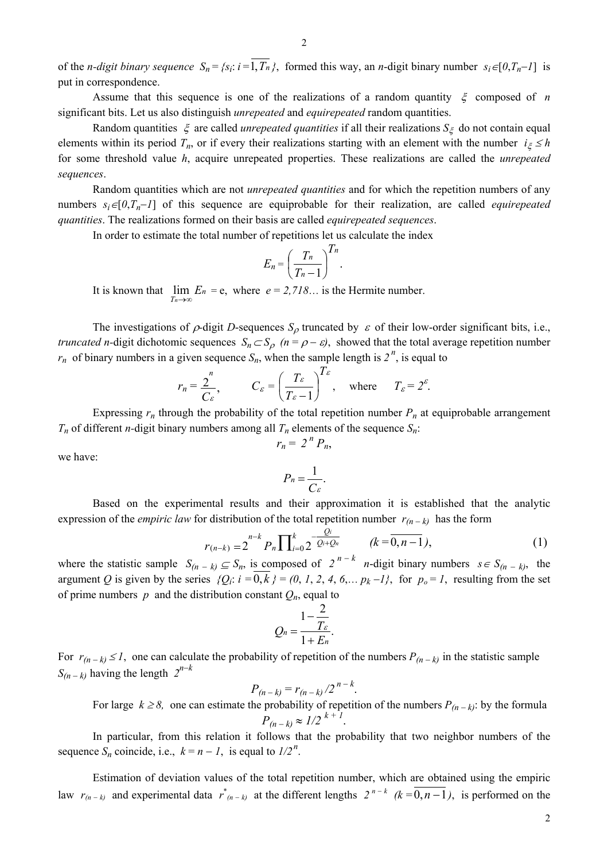of the *n*-digit binary sequence  $S_n = \{s_i: i = \overline{1, T_n}\}\$ , formed this way, an *n*-digit binary number  $s_i \in [0, T_n - 1]$  is put in correspondence.

Assume that this sequence is one of the realizations of a random quantity ξ composed of *n* significant bits. Let us also distinguish *unrepeated* and *equirepeated* random quantities.

Random quantities  $\xi$  are called *unrepeated quantities* if all their realizations  $S_{\xi}$  do not contain equal elements within its period  $T_n$ , or if every their realizations starting with an element with the number  $i_{\xi} \leq h$ for some threshold value *h*, acquire unrepeated properties. These realizations are called the *unrepeated sequences*.

Random quantities which are not *unrepeated quantities* and for which the repetition numbers of any numbers  $s_i \in [0, T_n - 1]$  of this sequence are equiprobable for their realization, are called *equirepeated quantities*. The realizations formed on their basis are called *equirepeated sequences*.

In order to estimate the total number of repetitions let us calculate the index

$$
E_n = \left(\frac{T_n}{T_n - 1}\right)^{T_n}.
$$

It is known that  $\lim_{T_n \to \infty} E_n = e$ , where  $e = 2.718...$  is the Hermite number.

The investigations of  $\rho$ -digit *D*-sequences  $S_\rho$  truncated by  $\varepsilon$  of their low-order significant bits, i.e., *truncated n*-digit dichotomic sequences  $S_n \subset S_o$   $(n = \rho - \varepsilon)$ , showed that the total average repetition number  $r_n$  of binary numbers in a given sequence  $S_n$ , when the sample length is  $2^n$ , is equal to

$$
r_n = \frac{2}{C_{\varepsilon}},
$$
  $C_{\varepsilon} = \left(\frac{T_{\varepsilon}}{T_{\varepsilon}-1}\right)^{T_{\varepsilon}}, \text{ where } T_{\varepsilon} = 2^{\varepsilon}.$ 

Expressing  $r_n$  through the probability of the total repetition number  $P_n$  at equiprobable arrangement  $T_n$  of different *n*-digit binary numbers among all  $T_n$  elements of the sequence  $S_n$ .

$$
r_n = 2^n P_n,
$$

we have:

$$
P_n=\frac{1}{C\varepsilon}.
$$

Based on the experimental results and their approximation it is established that the analytic expression of the *empiric law* for distribution of the total repetition number  $r_{(n-k)}$  has the form

$$
r_{(n-k)} = 2^{n-k} P_n \prod_{i=0}^{k} 2^{-\frac{Q_i}{Q_i + Q_n}} \qquad (k = \overline{0, n-1}),
$$
 (1)

where the statistic sample  $S_{(n-k)} \subseteq S_n$ , is composed of  $2^{n-k}$  *n*-digit binary numbers  $s \in S_{(n-k)}$ , the argument *Q* is given by the series  $\{Q_i: i = 0, k\} = (0, 1, 2, 4, 6, \ldots p_k - 1\}$ , for  $p_o = 1$ , resulting from the set of prime numbers  $p$  and the distribution constant  $Q_n$ , equal to

$$
Q_n=\frac{1-\frac{2}{T_{\varepsilon}}}{1+E_n}.
$$

For  $r_{(n-k)} \leq 1$ , one can calculate the probability of repetition of the numbers  $P_{(n-k)}$  in the statistic sample *S*<sub>(*n* − *k*)</sub> having the length  $2^{n-k}$ 

$$
P_{(n-k)} = r_{(n-k)}/2^{n-k}.
$$

For large  $k \ge 8$ , one can estimate the probability of repetition of the numbers  $P_{(n-k)}$ : by the formula  $P_{(n-k)} \approx 1/2^{k+1}$ .

In particular, from this relation it follows that the probability that two neighbor numbers of the sequence  $S_n$  coincide, i.e.,  $k = n - 1$ , is equal to  $1/2^n$ .

Estimation of deviation values of the total repetition number, which are obtained using the empiric law  $r_{(n-k)}$  and experimental data  $r^*_{(n-k)}$  at the different lengths  $2^{n-k}$  ( $k = 0, n-1$ ), is performed on the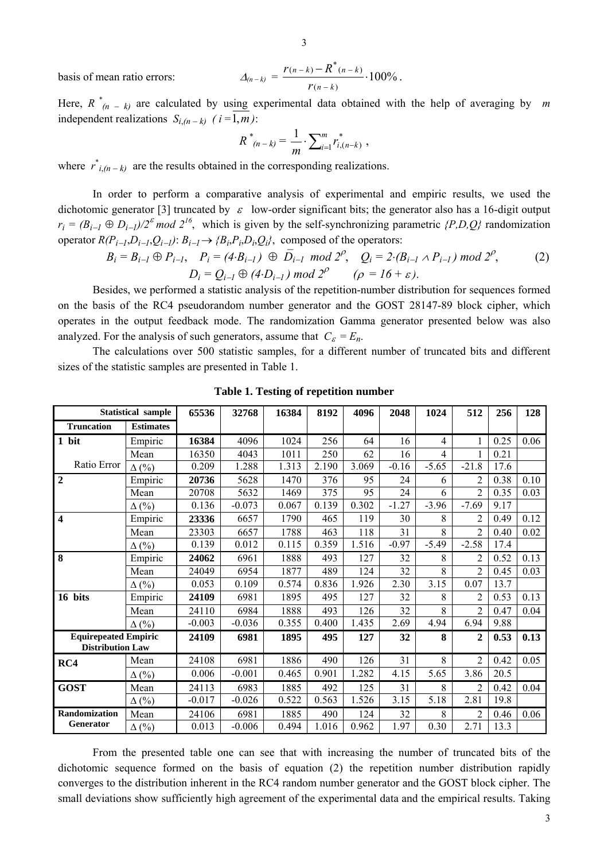basis of mean ratio errors: <sup>∆</sup>*(n* <sup>−</sup> *k)* = 100%

$$
\Delta_{(n-k)} = \frac{r_{(n-k)} - R^*(n-k)}{r_{(n-k)}} \cdot 100\% .
$$

Here,  $R \times (n - k)$  are calculated by using experimental data obtained with the help of averaging by *m* independent realizations  $S_i$ <sub>(n-k)</sub> (i=1,m):

$$
R^*_{(n-k)} = \frac{1}{m} \cdot \sum_{i=1}^m r_{i,(n-k)}^*,
$$

where  $\vec{r}_{i,(n-k)}$  are the results obtained in the corresponding realizations.

In order to perform a comparative analysis of experimental and empiric results, we used the dichotomic generator [3] truncated by <sup>ε</sup>low-order significant bits; the generator also has a 16-digit output  $r_i = (B_{i-1} \oplus D_{i-1})/2^{\epsilon}$  *mod*  $2^{16}$ , which is given by the self-synchronizing parametric *{P,D,Q}* randomization operator  $R(P_{i-1}, D_{i-1}, Q_{i-1})$ :  $B_{i-1} \rightarrow \{B_i, P_i, D_i, Q_i\}$ , composed of the operators:

$$
B_i = B_{i-1} \oplus P_{i-1}, \quad P_i = (4 \cdot B_{i-1}) \oplus \overline{D}_{i-1} \mod 2^{\rho}, \quad Q_i = 2 \cdot (B_{i-1} \land P_{i-1}) \mod 2^{\rho},
$$
  

$$
D_i = Q_{i-1} \oplus (4 \cdot D_{i-1}) \mod 2^{\rho} \quad (\rho = 16 + \varepsilon).
$$
 (2)

Besides, we performed a statistic analysis of the repetition-number distribution for sequences formed on the basis of the RC4 pseudorandom number generator and the GOST 28147-89 block cipher, which operates in the output feedback mode. The randomization Gamma generator presented below was also analyzed. For the analysis of such generators, assume that  $C_{\varepsilon} = E_n$ .

The calculations over 500 statistic samples, for a different number of truncated bits and different sizes of the statistic samples are presented in Table 1.

| <b>Statistical sample</b>                              |                  | 65536    | 32768    | 16384 | 8192  | 4096  | 2048    | 1024           | 512            | 256  | 128  |
|--------------------------------------------------------|------------------|----------|----------|-------|-------|-------|---------|----------------|----------------|------|------|
| <b>Truncation</b>                                      | <b>Estimates</b> |          |          |       |       |       |         |                |                |      |      |
| 1 bit                                                  | Empiric          | 16384    | 4096     | 1024  | 256   | 64    | 16      | $\overline{4}$ |                | 0.25 | 0.06 |
|                                                        | Mean             | 16350    | 4043     | 1011  | 250   | 62    | 16      | 4              | 1              | 0.21 |      |
| Ratio Error                                            | $\Delta$ (%)     | 0.209    | 1.288    | 1.313 | 2.190 | 3.069 | $-0.16$ | $-5.65$        | $-21.8$        | 17.6 |      |
| $\mathbf{2}$                                           | Empiric          | 20736    | 5628     | 1470  | 376   | 95    | 24      | 6              | $\overline{c}$ | 0.38 | 0.10 |
|                                                        | Mean             | 20708    | 5632     | 1469  | 375   | 95    | 24      | 6              | $\overline{2}$ | 0.35 | 0.03 |
|                                                        | $\Delta$ (%)     | 0.136    | $-0.073$ | 0.067 | 0.139 | 0.302 | $-1.27$ | $-3.96$        | $-7.69$        | 9.17 |      |
| $\overline{\mathbf{4}}$                                | Empiric          | 23336    | 6657     | 1790  | 465   | 119   | 30      | 8              | $\overline{2}$ | 0.49 | 0.12 |
|                                                        | Mean             | 23303    | 6657     | 1788  | 463   | 118   | 31      | 8              | $\overline{2}$ | 0.40 | 0.02 |
|                                                        | $\Delta$ (%)     | 0.139    | 0.012    | 0.115 | 0.359 | 1.516 | $-0.97$ | $-5.49$        | $-2.58$        | 17.4 |      |
| 8                                                      | Empiric          | 24062    | 6961     | 1888  | 493   | 127   | 32      | 8              | $\overline{2}$ | 0.52 | 0.13 |
|                                                        | Mean             | 24049    | 6954     | 1877  | 489   | 124   | 32      | 8              | $\overline{2}$ | 0.45 | 0.03 |
|                                                        | $\Delta$ (%)     | 0.053    | 0.109    | 0.574 | 0.836 | 1.926 | 2.30    | 3.15           | 0.07           | 13.7 |      |
| 16 bits                                                | Empiric          | 24109    | 6981     | 1895  | 495   | 127   | 32      | 8              | $\overline{2}$ | 0.53 | 0.13 |
|                                                        | Mean             | 24110    | 6984     | 1888  | 493   | 126   | 32      | 8              | $\overline{2}$ | 0.47 | 0.04 |
|                                                        | $\Delta$ (%)     | $-0.003$ | $-0.036$ | 0.355 | 0.400 | 1.435 | 2.69    | 4.94           | 6.94           | 9.88 |      |
| <b>Equirepeated Empiric</b><br><b>Distribution Law</b> |                  | 24109    | 6981     | 1895  | 495   | 127   | 32      | 8              | $\mathbf{2}$   | 0.53 | 0.13 |
| RC4                                                    | Mean             | 24108    | 6981     | 1886  | 490   | 126   | 31      | 8              | $\overline{2}$ | 0.42 | 0.05 |
|                                                        | $\Delta$ (%)     | 0.006    | $-0.001$ | 0.465 | 0.901 | 1.282 | 4.15    | 5.65           | 3.86           | 20.5 |      |
| <b>GOST</b>                                            | Mean             | 24113    | 6983     | 1885  | 492   | 125   | 31      | 8              | 2              | 0.42 | 0.04 |
|                                                        | $\Delta$ (%)     | $-0.017$ | $-0.026$ | 0.522 | 0.563 | 1.526 | 3.15    | 5.18           | 2.81           | 19.8 |      |
| <b>Randomization</b>                                   | Mean             | 24106    | 6981     | 1885  | 490   | 124   | 32      | 8              | 2              | 0.46 | 0.06 |
| <b>Generator</b>                                       | $\Delta$ (%)     | 0.013    | $-0.006$ | 0.494 | 1.016 | 0.962 | 1.97    | 0.30           | 2.71           | 13.3 |      |

**Table 1. Testing of repetition number** 

From the presented table one can see that with increasing the number of truncated bits of the dichotomic sequence formed on the basis of equation (2) the repetition number distribution rapidly converges to the distribution inherent in the RC4 random number generator and the GOST block cipher. The small deviations show sufficiently high agreement of the experimental data and the empirical results. Taking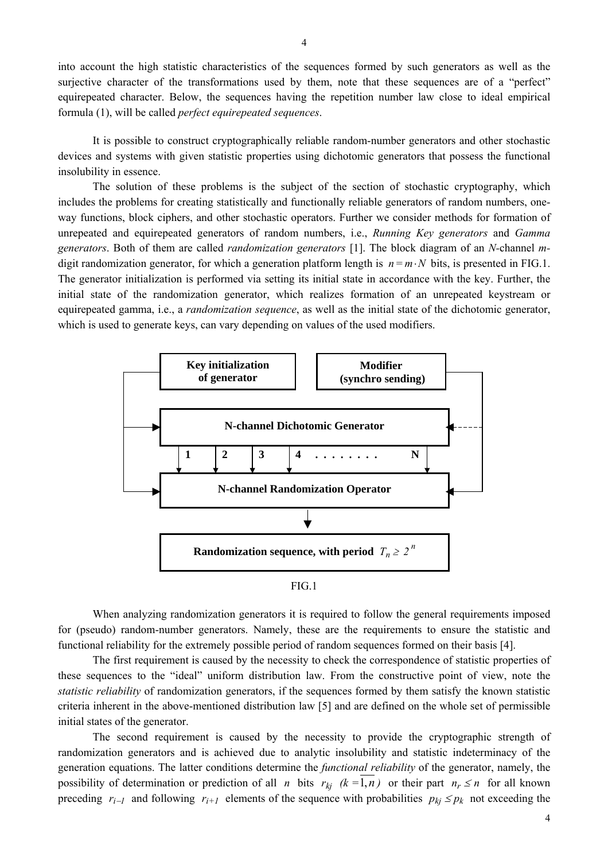into account the high statistic characteristics of the sequences formed by such generators as well as the surjective character of the transformations used by them, note that these sequences are of a "perfect" equirepeated character. Below, the sequences having the repetition number law close to ideal empirical formula (1), will be called *perfect equirepeated sequences*.

It is possible to construct cryptographically reliable random-number generators and other stochastic devices and systems with given statistic properties using dichotomic generators that possess the functional insolubility in essence.

The solution of these problems is the subject of the section of stochastic cryptography, which includes the problems for creating statistically and functionally reliable generators of random numbers, oneway functions, block ciphers, and other stochastic operators. Further we consider methods for formation of unrepeated and equirepeated generators of random numbers, i.e., *Running Key generators* and *Gamma generators*. Both of them are called *randomization generators* [1]. The block diagram of an *N-*channel *m*digit randomization generator, for which a generation platform length is *n* = *m*⋅*N* bits, is presented in FIG.1. The generator initialization is performed via setting its initial state in accordance with the key. Further, the initial state of the randomization generator, which realizes formation of an unrepeated keystream or equirepeated gamma, i.e., a *randomization sequence*, as well as the initial state of the dichotomic generator, which is used to generate keys, can vary depending on values of the used modifiers.



FIG.1

When analyzing randomization generators it is required to follow the general requirements imposed for (pseudo) random-number generators. Namely, these are the requirements to ensure the statistic and functional reliability for the extremely possible period of random sequences formed on their basis [4].

The first requirement is caused by the necessity to check the correspondence of statistic properties of these sequences to the "ideal" uniform distribution law. From the constructive point of view, note the *statistic reliability* of randomization generators, if the sequences formed by them satisfy the known statistic criteria inherent in the above-mentioned distribution law [5] and are defined on the whole set of permissible initial states of the generator.

The second requirement is caused by the necessity to provide the cryptographic strength of randomization generators and is achieved due to analytic insolubility and statistic indeterminacy of the generation equations. The latter conditions determine the *functional reliability* of the generator, namely, the possibility of determination or prediction of all *n* bits  $r_{kj}$  ( $k = 1, n$ ) or their part  $n_r \le n$  for all known preceding  $r_{i-1}$  and following  $r_{i+1}$  elements of the sequence with probabilities  $p_{kj} \leq p_k$  not exceeding the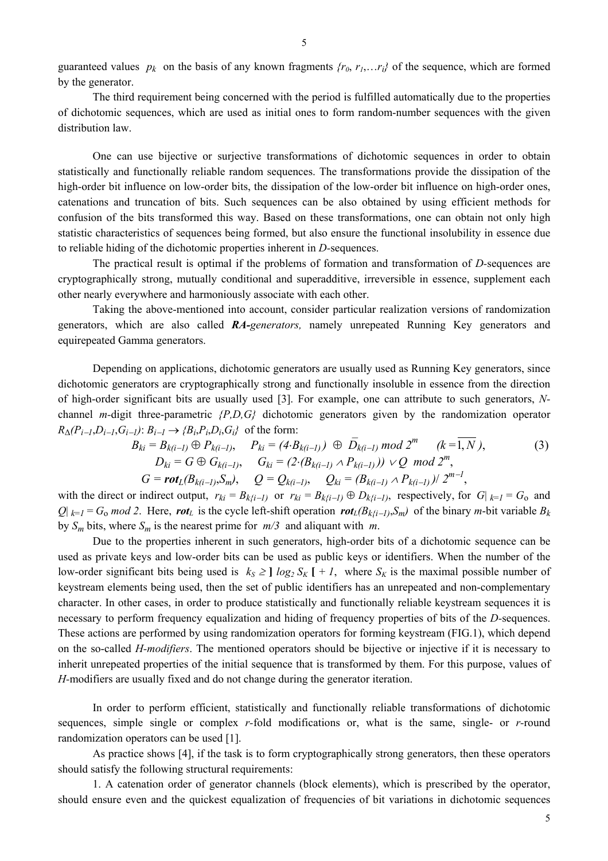The third requirement being concerned with the period is fulfilled automatically due to the properties of dichotomic sequences, which are used as initial ones to form random-number sequences with the given distribution law.

One can use bijective or surjective transformations of dichotomic sequences in order to obtain statistically and functionally reliable random sequences. The transformations provide the dissipation of the high-order bit influence on low-order bits, the dissipation of the low-order bit influence on high-order ones, catenations and truncation of bits. Such sequences can be also obtained by using efficient methods for confusion of the bits transformed this way. Based on these transformations, one can obtain not only high statistic characteristics of sequences being formed, but also ensure the functional insolubility in essence due to reliable hiding of the dichotomic properties inherent in *D-*sequences.

The practical result is optimal if the problems of formation and transformation of *D-*sequences are cryptographically strong, mutually conditional and superadditive, irreversible in essence, supplement each other nearly everywhere and harmoniously associate with each other.

Taking the above-mentioned into account, consider particular realization versions of randomization generators, which are also called *RA-generators,* namely unrepeated Running Key generators and equirepeated Gamma generators.

Depending on applications, dichotomic generators are usually used as Running Key generators, since dichotomic generators are cryptographically strong and functionally insoluble in essence from the direction of high-order significant bits are usually used [3]. For example, one can attribute to such generators, *N*channel *m-*digit three-parametric *{P,D,G}* dichotomic generators given by the randomization operator  $R_{\Delta}(P_{i-1}, D_{i-1}, G_{i-1})$ :  $B_{i-1} \rightarrow \{B_i, P_i, D_i, G_i\}$  of the form:

$$
B_{ki} = B_{k(i-1)} \oplus P_{k(i-1)}, \quad P_{ki} = (4 \cdot B_{k(i-1)}) \oplus \overline{D}_{k(i-1)} \bmod 2^m \quad (k = \overline{1, N}),
$$
  
\n
$$
D_{ki} = G \oplus G_{k(i-1)}, \quad G_{ki} = (2 \cdot (B_{k(i-1)} \wedge P_{k(i-1)})) \vee Q \bmod 2^m,
$$
  
\n
$$
G = \text{rot}_L(B_{k(i-1)}, S_m), \quad Q = Q_{k(i-1)}, \quad Q_{ki} = (B_{k(i-1)} \wedge P_{k(i-1)}) / 2^{m-1},
$$
\n(3)

with the direct or indirect output,  $r_{ki} = B_{kj(i-1)}$  or  $r_{ki} = B_{kj(i-1)} \oplus D_{kj(i-1)}$ , respectively, for  $G|_{k=1} = G_0$  and *Q*|  $_{k=1}$  =  $G_0$  *mod 2*. Here, *rot<sub>L</sub>* is the cycle left-shift operation *rot<sub>L</sub>*( $B_{k*i-1*}, S_m$ ) of the binary *m*-bit variable  $B_k$ by  $S_m$  bits, where  $S_m$  is the nearest prime for  $m/3$  and aliquant with  $m$ .

Due to the properties inherent in such generators, high-order bits of a dichotomic sequence can be used as private keys and low-order bits can be used as public keys or identifiers. When the number of the low-order significant bits being used is  $k_S \geq 1 \log_2 S_K$  [ + *1*, where  $S_K$  is the maximal possible number of keystream elements being used, then the set of public identifiers has an unrepeated and non-complementary character. In other cases, in order to produce statistically and functionally reliable keystream sequences it is necessary to perform frequency equalization and hiding of frequency properties of bits of the *D-*sequences. These actions are performed by using randomization operators for forming keystream (FIG.1), which depend on the so-called *H-modifiers*. The mentioned operators should be bijective or injective if it is necessary to inherit unrepeated properties of the initial sequence that is transformed by them. For this purpose, values of *H-*modifiers are usually fixed and do not change during the generator iteration.

In order to perform efficient, statistically and functionally reliable transformations of dichotomic sequences, simple single or complex *r-*fold modifications or, what is the same, single- or *r-*round randomization operators can be used [1].

As practice shows [4], if the task is to form cryptographically strong generators, then these operators should satisfy the following structural requirements:

1. A catenation order of generator channels (block elements), which is prescribed by the operator, should ensure even and the quickest equalization of frequencies of bit variations in dichotomic sequences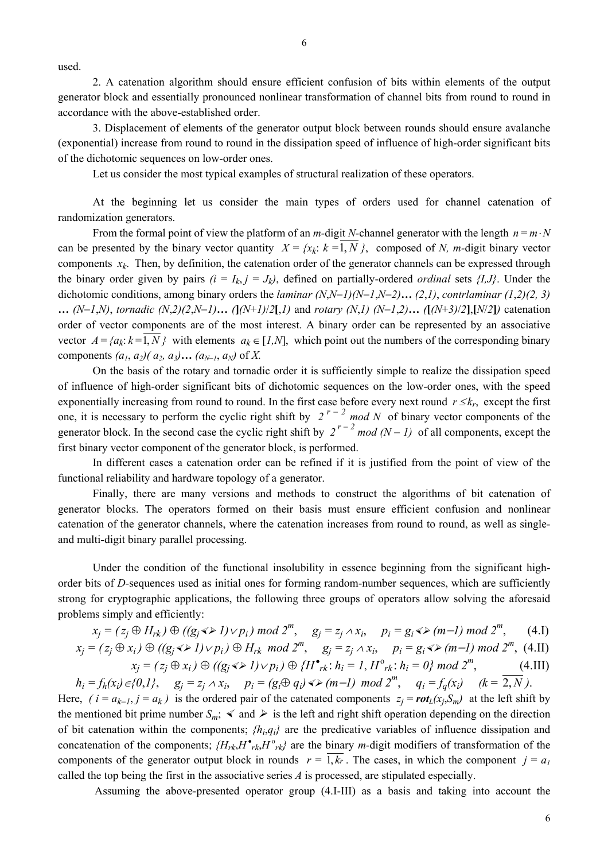used.

2. A catenation algorithm should ensure efficient confusion of bits within elements of the output generator block and essentially pronounced nonlinear transformation of channel bits from round to round in accordance with the above-established order.

3. Displacement of elements of the generator output block between rounds should ensure avalanche (exponential) increase from round to round in the dissipation speed of influence of high-order significant bits of the dichotomic sequences on low-order ones.

Let us consider the most typical examples of structural realization of these operators.

At the beginning let us consider the main types of orders used for channel catenation of randomization generators.

From the formal point of view the platform of an *m*-digit *N*-channel generator with the length  $n = m \cdot N$ can be presented by the binary vector quantity  $X = \{x_k: k = 1, N\}$ , composed of *N, m*-digit binary vector components  $x_k$ . Then, by definition, the catenation order of the generator channels can be expressed through the binary order given by pairs  $(i = I_k, j = J_k)$ , defined on partially-ordered *ordinal* sets  $\{I, J\}$ . Under the dichotomic conditions, among binary orders the *laminar (N*,*N*−*1)(N*−*1*,*N*−*2)***…** *(2*,*1)*, *contrlaminar (1*,*2)(2, 3)*  ... (N-1,N), tornadic (N,2)(2,N-1)... ( $\int (N+1)/2$ [,1) and rotary (N,1) (N-1,2)... ( $\int (N+3)/2$ ],[N/2]) catenation order of vector components are of the most interest. A binary order can be represented by an associative vector  $A = \{a_k : k = 1, N\}$  with elements  $a_k \in [1, N]$ , which point out the numbers of the corresponding binary components  $(a_1, a_2)$  ( $a_2, a_3$ ) …  $(a_{N-1}, a_N)$  of X.

On the basis of the rotary and tornadic order it is sufficiently simple to realize the dissipation speed of influence of high-order significant bits of dichotomic sequences on the low-order ones, with the speed exponentially increasing from round to round. In the first case before every next round  $r \leq k_r$ , except the first one, it is necessary to perform the cyclic right shift by  $2^{r-2}$  *mod N* of binary vector components of the generator block. In the second case the cyclic right shift by  $2^{r-2}$  *mod* (N − 1) of all components, except the first binary vector component of the generator block, is performed.

In different cases a catenation order can be refined if it is justified from the point of view of the functional reliability and hardware topology of a generator.

Finally, there are many versions and methods to construct the algorithms of bit catenation of generator blocks. The operators formed on their basis must ensure efficient confusion and nonlinear catenation of the generator channels, where the catenation increases from round to round, as well as singleand multi-digit binary parallel processing.

Under the condition of the functional insolubility in essence beginning from the significant highorder bits of *D-*sequences used as initial ones for forming random-number sequences, which are sufficiently strong for cryptographic applications, the following three groups of operators allow solving the aforesaid problems simply and efficiently:

$$
x_j = (z_j \oplus H_{rk}) \oplus ((g_j \Leftrightarrow 1) \lor p_i) \mod 2^m, \quad g_j = z_j \land x_i, \quad p_i = g_i \Leftrightarrow (m-1) \mod 2^m, \quad (4.1)
$$
  

$$
x_j = (z_j \oplus x_i) \oplus ((g_j \Leftrightarrow 1) \lor p_i) \oplus H_{rk} \mod 2^m, \quad g_j = z_j \land x_i, \quad p_i = g_i \Leftrightarrow (m-1) \mod 2^m, \quad (4.11)
$$
  

$$
x_j = (z_j \oplus x_i) \oplus ((g_j \Leftrightarrow 1) \lor p_i) \oplus \{H^{\bullet}_{rk}: h_i = 1, H^{\circ}_{rk}: h_i = 0\} \mod 2^m, \quad (4.111)
$$

*h<sub>i</sub>* = *f<sub>h</sub>*(*x<sub>i</sub>*) ∈ {0,*1*},  $g_i = z_i \land x_i$ ,  $p_i = (g_i ⊕ q_i) \triangleleft x (m−1) \mod 2^m$ ,  $q_i = f_q(x_i)$   $(k = \overline{2, N})$ . Here,  $(i = a_{k-1}, j = a_k)$  is the ordered pair of the catenated components  $z_j = \text{rot}_L(x_j, S_m)$  at the left shift by the mentioned bit prime number  $S_m$ ;  $\leq$  and  $\geq$  is the left and right shift operation depending on the direction of bit catenation within the components; *{hi*,*qi}* are the predicative variables of influence dissipation and concatenation of the components;  ${H_{rk}, H^{\bullet}_{rk}, H^{\circ}_{rk}}$  are the binary *m*-digit modifiers of transformation of the components of the generator output block in rounds  $r = \overline{1, k_r}$ . The cases, in which the component  $j = a_l$ called the top being the first in the associative series *A* is processed, are stipulated especially.

Assuming the above-presented operator group (4.I-III) as a basis and taking into account the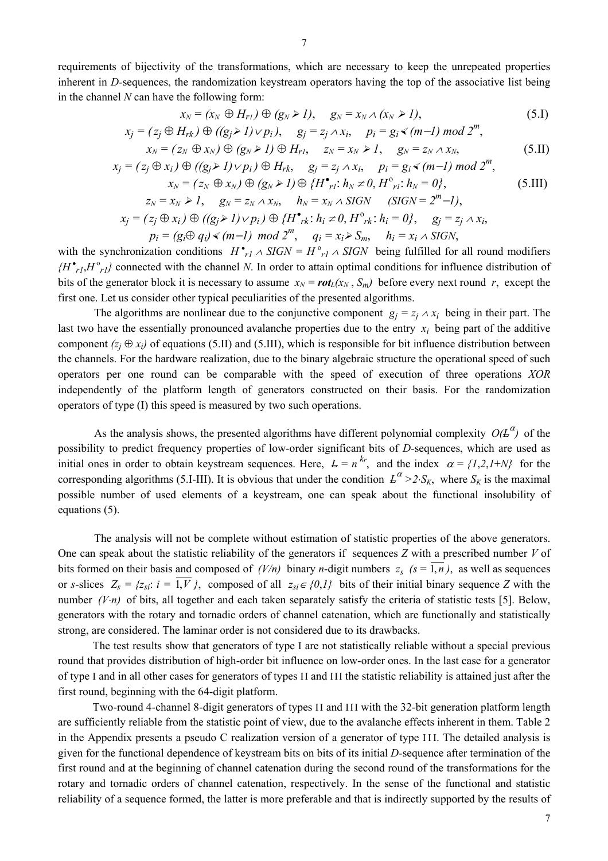requirements of bijectivity of the transformations, which are necessary to keep the unrepeated properties inherent in *D-*sequences, the randomization keystream operators having the top of the associative list being in the channel *N* can have the following form:

$$
x_N = (x_N \oplus H_{r1}) \oplus (g_N \triangleright 1), \quad g_N = x_N \wedge (x_N \triangleright 1), \tag{5.1}
$$

$$
x_j = (z_j \oplus H_{rk}) \oplus ((g_j \triangleright 1) \vee p_i), \quad g_j = z_j \wedge x_i, \quad p_i = g_i \triangleleft (m-1) \bmod 2^m,
$$

$$
x_N = (z_N \oplus x_N) \oplus (g_N \triangleright I) \oplus H_{r1}, \quad z_N = x_N \triangleright I, \quad g_N = z_N \wedge x_N, \tag{5.II}
$$

$$
x_j = (z_j \oplus x_i) \oplus ((g_j \triangleright 1) \vee p_i) \oplus H_{rk}, \quad g_j = z_j \wedge x_i, \quad p_i = g_i \triangleleft (m-1) \mod 2^m,
$$
  

$$
x_N = (z_N \oplus x_N) \oplus (g_N \triangleright 1) \oplus \{H^{\bullet}{}_{r1}: h_N \neq 0, H^{\circ}{}_{r1}: h_N = 0\},
$$
(5.III)

$$
z_N = x_N \ge 1, \quad g_N = z_N \wedge x_N, \quad h_N = x_N \wedge SIGN \quad (SIGN = 2m-1),
$$
  
\n
$$
x_j = (z_j \oplus x_i) \oplus ((g_j \ge 1) \vee p_i) \oplus \{H^{\bullet}r_k : h_i \ne 0, H^{\circ}r_k : h_i = 0\}, \quad g_j = z_j \wedge x_i,
$$
  
\n
$$
p_i = (g_i \oplus q_i) \preceq (m-1) \mod 2m, \quad q_i = x_i \ge S_m, \quad h_i = x_i \wedge SIGN,
$$

with the synchronization conditions  $H^{\bullet}{}_{r} \wedge SIGN = H^{\circ}{}_{r} \wedge SIGN$  being fulfilled for all round modifiers  $(H^{\bullet}{}_{rl} H^{\circ}{}_{rl})$  connected with the channel *N*. In order to attain optimal conditions for influence distribution of bits of the generator block it is necessary to assume  $x_N = \text{rot}_L(x_N, S_m)$  before every next round *r*, except the first one. Let us consider other typical peculiarities of the presented algorithms.

The algorithms are nonlinear due to the conjunctive component  $g_i = z_i \wedge x_i$  being in their part. The last two have the essentially pronounced avalanche properties due to the entry *xi* being part of the additive component  $(z_i \oplus x_i)$  of equations (5.II) and (5.III), which is responsible for bit influence distribution between the channels. For the hardware realization, due to the binary algebraic structure the operational speed of such operators per one round can be comparable with the speed of execution of three operations *XOR* independently of the platform length of generators constructed on their basis. For the randomization operators of type (I) this speed is measured by two such operations.

As the analysis shows, the presented algorithms have different polynomial complexity  $O(E^{\alpha})$  of the possibility to predict frequency properties of low-order significant bits of *D-*sequences, which are used as initial ones in order to obtain keystream sequences. Here,  $L = n^{k_r}$ , and the index  $\alpha = \{1,2,1+N\}$  for the corresponding algorithms (5.I-III). It is obvious that under the condition  $L^{\alpha} > 2 \cdot S_K$ , where  $S_K$  is the maximal possible number of used elements of a keystream, one can speak about the functional insolubility of equations (5).

The analysis will not be complete without estimation of statistic properties of the above generators. One can speak about the statistic reliability of the generators if sequences *Z* with a prescribed number *V* of bits formed on their basis and composed of  $(V/n)$  binary *n*-digit numbers  $z_s$  ( $s = 1, n$ ), as well as sequences or *s*-slices  $Z_s = \{z_{si}: i = \overline{1, V}\}\$ , composed of all  $z_{si} \in \{0, l\}$  bits of their initial binary sequence *Z* with the number *(V⋅n)* of bits, all together and each taken separately satisfy the criteria of statistic tests [5]. Below, generators with the rotary and tornadic orders of channel catenation, which are functionally and statistically strong, are considered. The laminar order is not considered due to its drawbacks.

The test results show that generators of type I are not statistically reliable without a special previous round that provides distribution of high-order bit influence on low-order ones. In the last case for a generator of type I and in all other cases for generators of types II and III the statistic reliability is attained just after the first round, beginning with the 64-digit platform.

Two-round 4-channel 8-digit generators of types II and III with the 32-bit generation platform length are sufficiently reliable from the statistic point of view, due to the avalanche effects inherent in them. Table 2 in the Appendix presents a pseudo C realization version of a generator of type I I I. The detailed analysis is given for the functional dependence of keystream bits on bits of its initial *D-*sequence after termination of the first round and at the beginning of channel catenation during the second round of the transformations for the rotary and tornadic orders of channel catenation, respectively. In the sense of the functional and statistic reliability of a sequence formed, the latter is more preferable and that is indirectly supported by the results of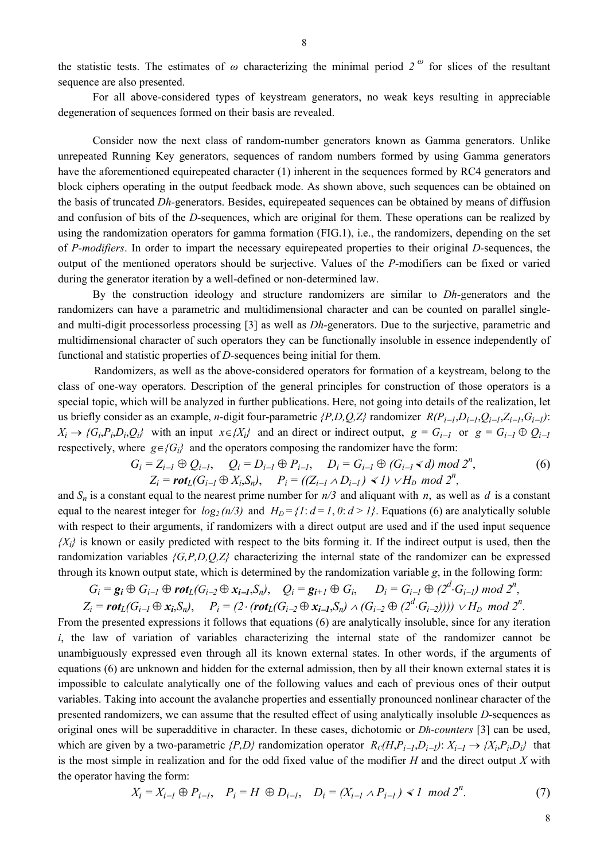the statistic tests. The estimates of  $\omega$  characterizing the minimal period  $2^{\omega}$  for slices of the resultant sequence are also presented.

For all above-considered types of keystream generators, no weak keys resulting in appreciable degeneration of sequences formed on their basis are revealed.

Consider now the next class of random-number generators known as Gamma generators. Unlike unrepeated Running Key generators, sequences of random numbers formed by using Gamma generators have the aforementioned equirepeated character (1) inherent in the sequences formed by RC4 generators and block ciphers operating in the output feedback mode. As shown above, such sequences can be obtained on the basis of truncated *Dh-*generators. Besides, equirepeated sequences can be obtained by means of diffusion and confusion of bits of the *D-*sequences, which are original for them. These operations can be realized by using the randomization operators for gamma formation (FIG.1), i.e., the randomizers, depending on the set of *P-modifiers*. In order to impart the necessary equirepeated properties to their original *D-*sequences, the output of the mentioned operators should be surjective. Values of the *P-*modifiers can be fixed or varied during the generator iteration by a well-defined or non-determined law.

By the construction ideology and structure randomizers are similar to *Dh-*generators and the randomizers can have a parametric and multidimensional character and can be counted on parallel singleand multi-digit processorless processing [3] as well as *Dh-*generators. Due to the surjective, parametric and multidimensional character of such operators they can be functionally insoluble in essence independently of functional and statistic properties of *D-*sequences being initial for them.

Randomizers, as well as the above-considered operators for formation of a keystream, belong to the class of one-way operators. Description of the general principles for construction of those operators is a special topic, which will be analyzed in further publications. Here, not going into details of the realization, let us briefly consider as an example, *n*-digit four-parametric  $\{P, D, Q, Z\}$  randomizer  $R(P_{i-1}, D_{i-1}, Q_{i-1}, Z_{i-1}, G_{i-1})$ :  $X_i \rightarrow \{G_i, P_i, D_i, Q_i\}$  with an input  $x \in \{X_i\}$  and an direct or indirect output,  $g = G_{i-1}$  or  $g = G_{i-1} \oplus Q_{i-1}$ respectively, where  $g \in G_i$  and the operators composing the randomizer have the form:

$$
G_i = Z_{i-1} \oplus Q_{i-1}, \quad Q_i = D_{i-1} \oplus P_{i-1}, \quad D_i = G_{i-1} \oplus (G_{i-1} \le d) \bmod 2^n, Z_i = \text{rot}_L(G_{i-1} \oplus X_i, S_n), \quad P_i = ((Z_{i-1} \wedge D_{i-1}) \le 1) \vee H_D \bmod 2^n,
$$
 (6)

and  $S_n$  is a constant equal to the nearest prime number for  $n/3$  and aliquant with *n*, as well as *d* is a constant equal to the nearest integer for  $log_2(n/3)$  and  $H_D = \{1: d = 1, 0: d > 1\}$ . Equations (6) are analytically soluble with respect to their arguments, if randomizers with a direct output are used and if the used input sequence *{Xi}* is known or easily predicted with respect to the bits forming it. If the indirect output is used, then the randomization variables *{G,P,D,Q,Z}* characterizing the internal state of the randomizer can be expressed through its known output state, which is determined by the randomization variable *g*, in the following form:

$$
G_i = \mathbf{g_i} \oplus G_{i-l} \oplus \text{rot}_L(G_{i-2} \oplus \mathbf{x_{i-l}}, S_n), \quad Q_i = \mathbf{g_{i+l}} \oplus G_i, \quad D_i = G_{i-l} \oplus (2^d \cdot G_{i-l}) \text{ mod } 2^n,
$$
  

$$
Z_i = \text{rot}_L(G_{i-l} \oplus \mathbf{x_i}, S_n), \quad P_i = (2 \cdot (\text{rot}_L(G_{i-2} \oplus \mathbf{x_{i-l}}, S_n) \wedge (G_{i-2} \oplus (2^d \cdot G_{i-2})))) \vee H_D \text{ mod } 2^n.
$$

From the presented expressions it follows that equations (6) are analytically insoluble, since for any iteration *i*, the law of variation of variables characterizing the internal state of the randomizer cannot be unambiguously expressed even through all its known external states. In other words, if the arguments of equations (6) are unknown and hidden for the external admission, then by all their known external states it is impossible to calculate analytically one of the following values and each of previous ones of their output variables. Taking into account the avalanche properties and essentially pronounced nonlinear character of the presented randomness, we can assume that the resulted effect of using analytically insoluble *D*-sequences as original ones will be superadditive in character. In these cases, dichotomic or *Dh*-counters [3] can be used, which are given by a two-parametric 
$$
\{P,D\}
$$
 randomization operator  $R_C(H, P_{i-1}, D_{i-1})$ :  $X_{i-1} \rightarrow \{X_i, P_i, D_i\}$  that is the most simple in realization and for the odd fixed value of the modifier *H* and the direct output *X* with the operator having the form:

$$
X_i = X_{i-1} \oplus P_{i-1}, \quad P_i = H \oplus D_{i-1}, \quad D_i = (X_{i-1} \wedge P_{i-1}) \ll I \mod 2^n. \tag{7}
$$

8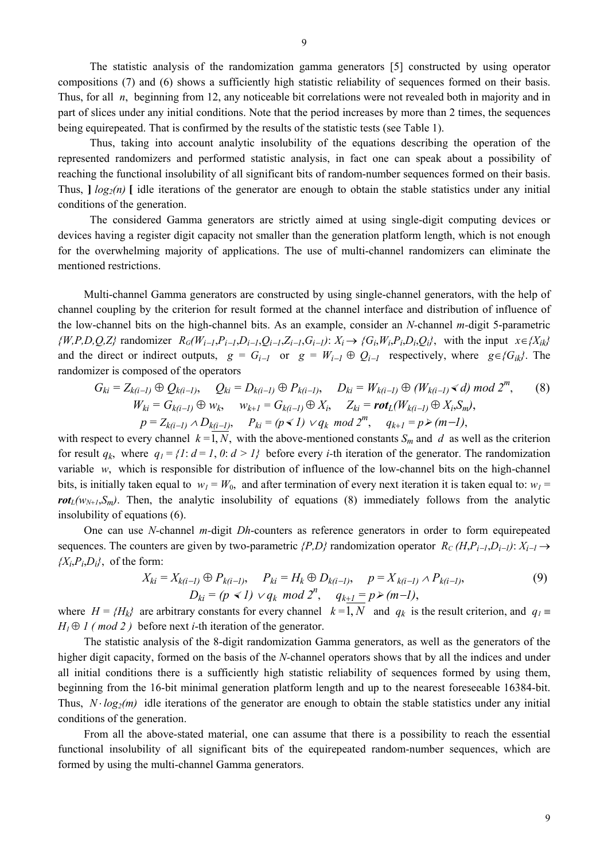The statistic analysis of the randomization gamma generators [5] constructed by using operator compositions (7) and (6) shows a sufficiently high statistic reliability of sequences formed on their basis. Thus, for all *n*, beginning from 12, any noticeable bit correlations were not revealed both in majority and in part of slices under any initial conditions. Note that the period increases by more than 2 times, the sequences being equirepeated. That is confirmed by the results of the statistic tests (see Table 1).

Thus, taking into account analytic insolubility of the equations describing the operation of the represented randomizers and performed statistic analysis, in fact one can speak about a possibility of reaching the functional insolubility of all significant bits of random-number sequences formed on their basis. Thus,  $\log_2(n)$  I idle iterations of the generator are enough to obtain the stable statistics under any initial conditions of the generation.

The considered Gamma generators are strictly aimed at using single-digit computing devices or devices having a register digit capacity not smaller than the generation platform length, which is not enough for the overwhelming majority of applications. The use of multi-channel randomizers can eliminate the mentioned restrictions.

Multi-channel Gamma generators are constructed by using single-channel generators, with the help of channel coupling by the criterion for result formed at the channel interface and distribution of influence of the low-channel bits on the high-channel bits. As an example, consider an *N-*channel *m-*digit 5-parametric  $\{W,P,D,Q,Z\}$  randomizer  $R_G(W_{i-1},P_{i-1},D_{i-1},Q_{i-1},Z_{i-1},G_{i-1}): X_i \to \{G_i,W_i,P_i,D_i,Q_i\}$ , with the input  $x \in \{X_{ik}\}$ and the direct or indirect outputs,  $g = G_{i-1}$  or  $g = W_{i-1} \oplus Q_{i-1}$  respectively, where  $g \in {G_{ik}}$ . The randomizer is composed of the operators

$$
G_{ki} = Z_{k(i-1)} \oplus Q_{k(i-1)}, \quad Q_{ki} = D_{k(i-1)} \oplus P_{k(i-1)}, \quad D_{ki} = W_{k(i-1)} \oplus (W_{k(i-1)} \triangleleft d) \mod 2^m, \quad (8)
$$
  
\n
$$
W_{ki} = G_{k(i-1)} \oplus w_k, \quad w_{k+1} = G_{k(i-1)} \oplus X_i, \quad Z_{ki} = \text{rot}_L(W_{k(i-1)} \oplus X_i, S_m),
$$
  
\n
$$
p = Z_{k(i-1)} \wedge D_{k(i-1)}, \quad P_{ki} = (p \triangleleft 1) \vee q_k \mod 2^m, \quad q_{k+1} = p \ge (m-1),
$$

with respect to every channel  $k = 1, N$ , with the above-mentioned constants  $S_m$  and *d* as well as the criterion for result  $q_k$ , where  $q_l = \{1: d = 1, 0: d > l\}$  before every *i*-th iteration of the generator. The randomization variable *w*, which is responsible for distribution of influence of the low-channel bits on the high-channel bits, is initially taken equal to  $w_1 = W_0$ , and after termination of every next iteration it is taken equal to:  $w_1 =$  $rot<sub>L</sub>(w<sub>N+1</sub>,S<sub>m</sub>)$ . Then, the analytic insolubility of equations (8) immediately follows from the analytic insolubility of equations (6).

One can use *N-*channel *m-*digit *Dh*-counters as reference generators in order to form equirepeated sequences. The counters are given by two-parametric  $\{P,D\}$  randomization operator  $R_C(H, P_{i-1}, D_{i-1})$ :  $X_{i-1} \rightarrow$  ${X_i, P_i, D_i}$ , of the form:

$$
X_{ki} = X_{k(i-l)} \oplus P_{k(i-l)}, \quad P_{ki} = H_k \oplus D_{k(i-l)}, \quad p = X_{k(i-l)} \wedge P_{k(i-l)},
$$
  
\n
$$
D_{ki} = (p \ll l) \vee q_k \mod 2^n, \quad q_{k+l} = p \ge (m-l),
$$
\n(9)

where  $H = {H_k}$  are arbitrary constants for every channel  $k = 1, N$  and  $q_k$  is the result criterion, and  $q_l =$  $H_1 \oplus I$  (*mod 2*) before next *i*-th iteration of the generator.

The statistic analysis of the 8-digit randomization Gamma generators, as well as the generators of the higher digit capacity, formed on the basis of the *N-*channel operators shows that by all the indices and under all initial conditions there is a sufficiently high statistic reliability of sequences formed by using them, beginning from the 16-bit minimal generation platform length and up to the nearest foreseeable 16384-bit. Thus,  $N \cdot log_2(m)$  idle iterations of the generator are enough to obtain the stable statistics under any initial conditions of the generation.

From all the above-stated material, one can assume that there is a possibility to reach the essential functional insolubility of all significant bits of the equirepeated random-number sequences, which are formed by using the multi-channel Gamma generators.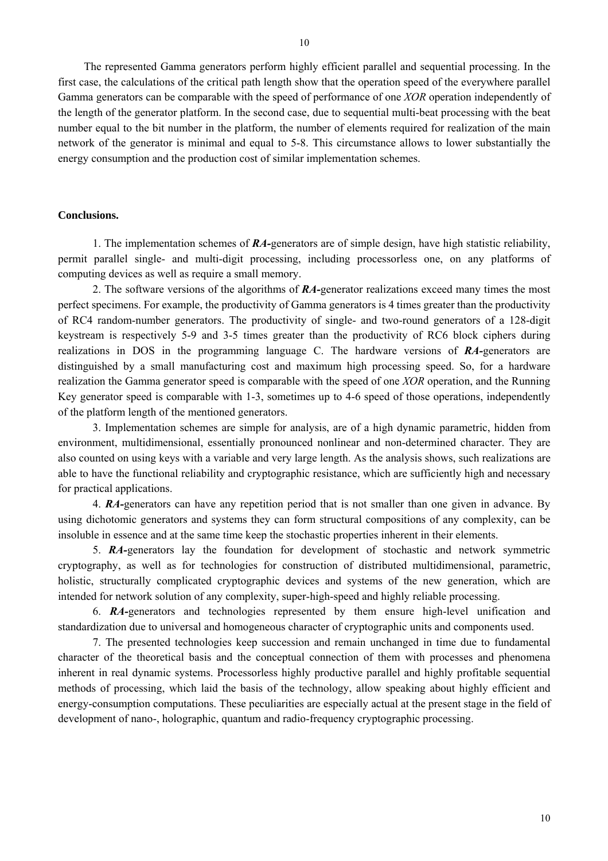The represented Gamma generators perform highly efficient parallel and sequential processing. In the first case, the calculations of the critical path length show that the operation speed of the everywhere parallel Gamma generators can be comparable with the speed of performance of one *XOR* operation independently of the length of the generator platform. In the second case, due to sequential multi-beat processing with the beat number equal to the bit number in the platform, the number of elements required for realization of the main network of the generator is minimal and equal to 5-8. This circumstance allows to lower substantially the energy consumption and the production cost of similar implementation schemes.

#### **Conclusions.**

1. The implementation schemes of *RA-*generators are of simple design, have high statistic reliability, permit parallel single- and multi-digit processing, including processorless one, on any platforms of computing devices as well as require a small memory.

2. The software versions of the algorithms of *RA-*generator realizations exceed many times the most perfect specimens. For example, the productivity of Gamma generators is 4 times greater than the productivity of RC4 random-number generators. The productivity of single- and two-round generators of a 128-digit keystream is respectively 5-9 and 3-5 times greater than the productivity of RC6 block ciphers during realizations in DOS in the programming language C. The hardware versions of *RA-*generators are distinguished by a small manufacturing cost and maximum high processing speed. So, for a hardware realization the Gamma generator speed is comparable with the speed of one *XOR* operation, and the Running Key generator speed is comparable with 1-3, sometimes up to 4-6 speed of those operations, independently of the platform length of the mentioned generators.

3. Implementation schemes are simple for analysis, are of a high dynamic parametric, hidden from environment, multidimensional, essentially pronounced nonlinear and non-determined character. They are also counted on using keys with a variable and very large length. As the analysis shows, such realizations are able to have the functional reliability and cryptographic resistance, which are sufficiently high and necessary for practical applications.

4. *RA-*generators can have any repetition period that is not smaller than one given in advance. By using dichotomic generators and systems they can form structural compositions of any complexity, can be insoluble in essence and at the same time keep the stochastic properties inherent in their elements.

5. *RA-*generators lay the foundation for development of stochastic and network symmetric cryptography, as well as for technologies for construction of distributed multidimensional, parametric, holistic, structurally complicated cryptographic devices and systems of the new generation, which are intended for network solution of any complexity, super-high-speed and highly reliable processing.

6. *RA-*generators and technologies represented by them ensure high-level unification and standardization due to universal and homogeneous character of cryptographic units and components used.

7. The presented technologies keep succession and remain unchanged in time due to fundamental character of the theoretical basis and the conceptual connection of them with processes and phenomena inherent in real dynamic systems. Processorless highly productive parallel and highly profitable sequential methods of processing, which laid the basis of the technology, allow speaking about highly efficient and energy-consumption computations. These peculiarities are especially actual at the present stage in the field of development of nano-, holographic, quantum and radio-frequency cryptographic processing.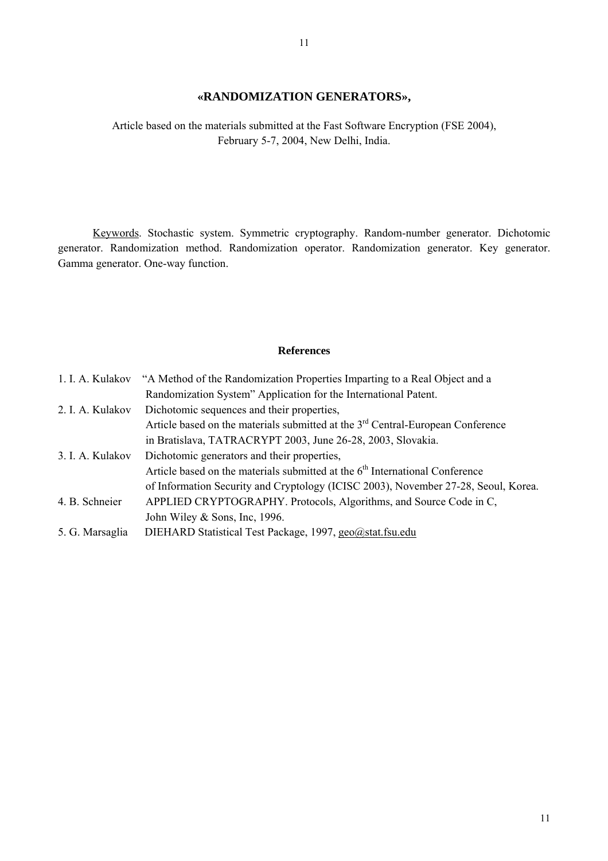# **«RANDOMIZATION GENERATORS»,**

Article based on the materials submitted at the Fast Software Encryption (FSE 2004), February 5-7, 2004, New Delhi, India.

Keywords. Stochastic system. Symmetric cryptography. Random-number generator. Dichotomic generator. Randomization method. Randomization operator. Randomization generator. Key generator. Gamma generator. One-way function.

## **References**

| 1. I. A. Kulakov | "A Method of the Randomization Properties Imparting to a Real Object and a                  |
|------------------|---------------------------------------------------------------------------------------------|
|                  | Randomization System" Application for the International Patent.                             |
| 2. I. A. Kulakov | Dichotomic sequences and their properties,                                                  |
|                  | Article based on the materials submitted at the 3 <sup>rd</sup> Central-European Conference |
|                  | in Bratislava, TATRACRYPT 2003, June 26-28, 2003, Slovakia.                                 |
| 3. I. A. Kulakov | Dichotomic generators and their properties,                                                 |
|                  | Article based on the materials submitted at the 6 <sup>th</sup> International Conference    |
|                  | of Information Security and Cryptology (ICISC 2003), November 27-28, Seoul, Korea.          |
| 4. B. Schneier   | APPLIED CRYPTOGRAPHY. Protocols, Algorithms, and Source Code in C,                          |
|                  | John Wiley $&$ Sons, Inc, 1996.                                                             |
| 5. G. Marsaglia  | DIEHARD Statistical Test Package, 1997, geo@stat.fsu.edu                                    |